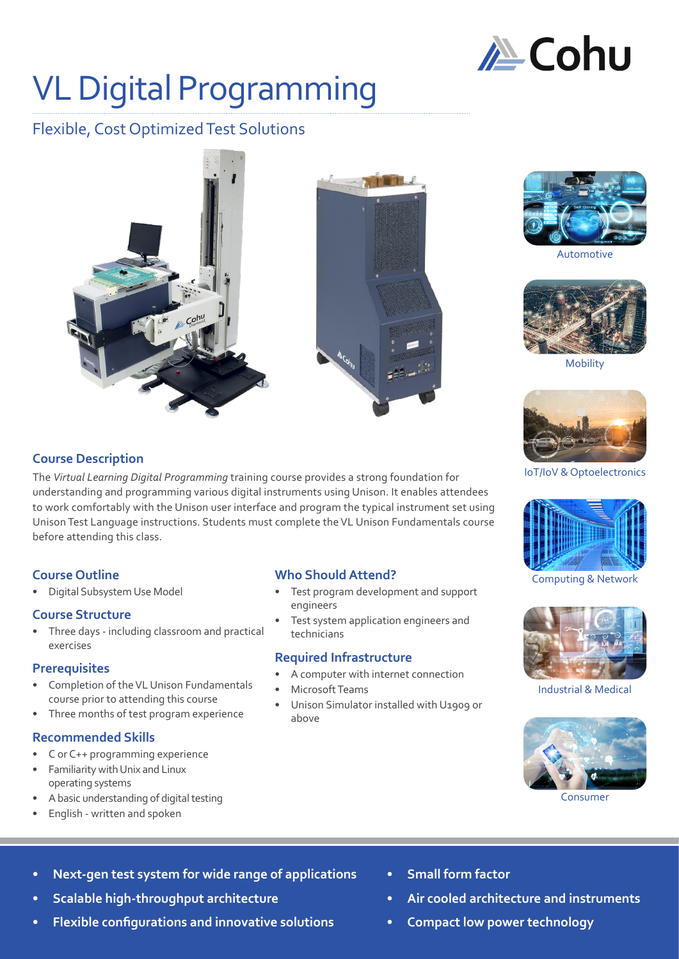

# VL Digital Programming

# Flexible, Cost Optimized Test Solutions





Automotive



Mobility



IoT/IoV & Optoelectronics



Computing & Network



Industrial & Medical



Consumer

### **Course Description**

The *Virtual Learning Digital Programming* training course provides a strong foundation for understanding and programming various digital instruments using Unison. It enables attendees to work comfortably with the Unison user interface and program the typical instrument set using Unison Test Language instructions. Students must complete the VL Unison Fundamentals course before attending this class.

### **Course Outline**

• Digital Subsystem Use Model

### **Course Structure**

• Three days - including classroom and practical exercises

### **Prerequisites**

- Completion of the VL Unison Fundamentals course prior to attending this course
- Three months of test program experience

### **Recommended Skills**

- C or C++ programming experience
- Familiarity with Unix and Linux operating systems
- A basic understanding of digital testing
- English written and spoken

### **Who Should Attend?**

- Test program development and support engineers
- Test system application engineers and technicians

### **Required Infrastructure**

- A computer with internet connection
- Microsoft Teams
- Unison Simulator installed with U1909 or above

- **• Next-gen test system for wide range of applications**
- **• Scalable high-throughput architecture**
- **• Flexible configurations and innovative solutions**
- **• Small form factor**
- **• Air cooled architecture and instruments**
- **• Compact low power technology**

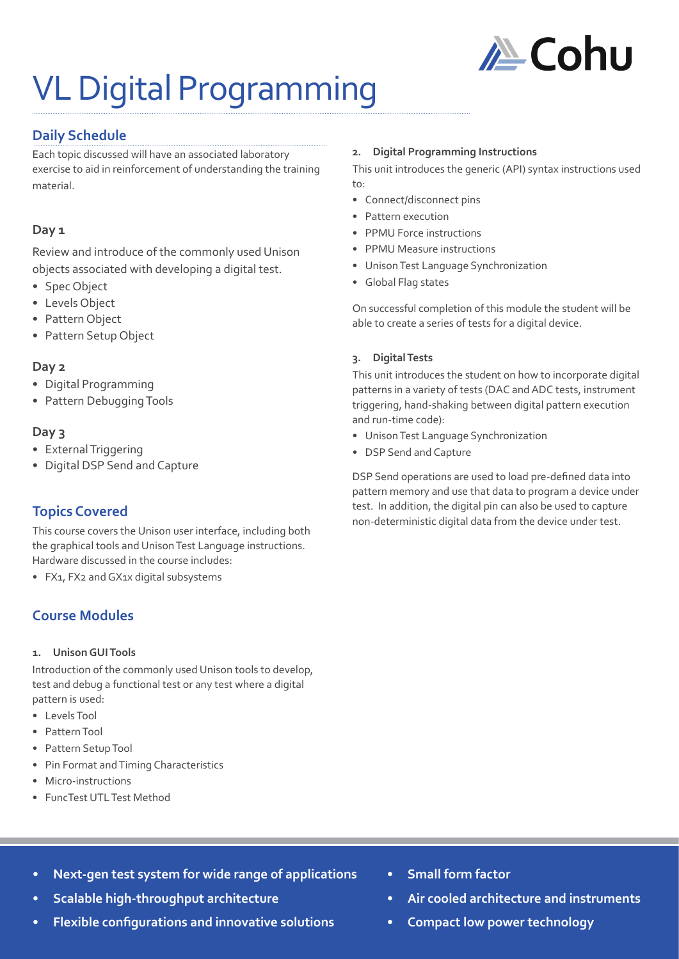

# VL Digital Programming

## **Daily Schedule**

Each topic discussed will have an associated laboratory exercise to aid in reinforcement of understanding the training material.

### **Day 1**

Review and introduce of the commonly used Unison objects associated with developing a digital test.

- Spec Object
- Levels Object
- Pattern Object
- Pattern Setup Object

### **Day 2**

- Digital Programming
- Pattern Debugging Tools

### **Day 3**

- External Triggering
- Digital DSP Send and Capture

# **Topics Covered**

This course covers the Unison user interface, including both the graphical tools and Unison Test Language instructions. Hardware discussed in the course includes:

• FX1, FX2 and GX1x digital subsystems

# **Course Modules**

### **1. Unison GUI Tools**

Introduction of the commonly used Unison tools to develop, test and debug a functional test or any test where a digital pattern is used:

- Levels Tool
- Pattern Tool
- Pattern Setup Tool
- Pin Format and Timing Characteristics
- Micro-instructions
- FuncTest UTL Test Method

#### **2. Digital Programming Instructions**

This unit introduces the generic (API) syntax instructions used to:

- Connect/disconnect pins
- Pattern execution
- PPMU Force instructions
- PPMU Measure instructions
- Unison Test Language Synchronization
- Global Flag states

On successful completion of this module the student will be able to create a series of tests for a digital device.

### **3. Digital Tests**

This unit introduces the student on how to incorporate digital patterns in a variety of tests (DAC and ADC tests, instrument triggering, hand-shaking between digital pattern execution and run-time code):

- Unison Test Language Synchronization
- DSP Send and Capture

DSP Send operations are used to load pre-defined data into pattern memory and use that data to program a device under test. In addition, the digital pin can also be used to capture non-deterministic digital data from the device under test.

- **• Next-gen test system for wide range of applications**
- **• Scalable high-throughput architecture**
- **• Flexible configurations and innovative solutions**
- **• Small form factor**
- **• Air cooled architecture and instruments**
- **• Compact low power technology**